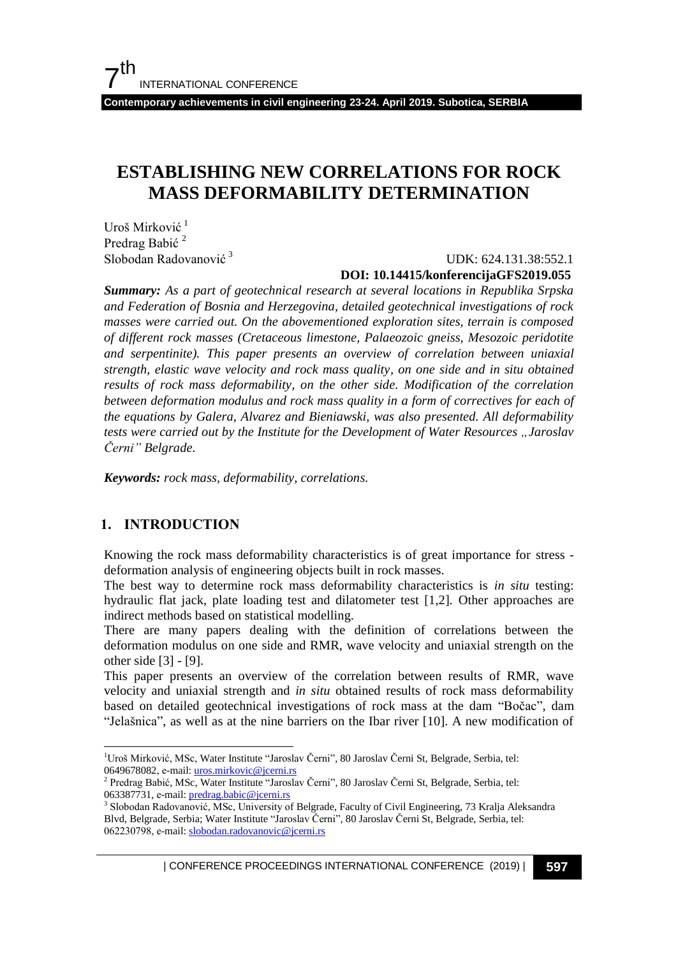**Contemporary achievements in civil engineering 23-24. April 2019. Subotica, SERBIA**

# **ESTABLISHING NEW CORRELATIONS FOR ROCK MASS DEFORMABILITY DETERMINATION**

Uroš Mirković<sup>1</sup> Predrag Babić<sup>2</sup> Slobodan Radovanović<sup>3</sup>

### UDK: 624.131.38:552.1 **DOI: 10.14415/konferencijaGFS2019.055**

*Summary: As a part of geotechnical research at several locations in Republika Srpska and Federation of Bosnia and Herzegovina, detailed geotechnical investigations of rock masses were carried out. On the abovementioned exploration sites, terrain is composed of different rock masses (Cretaceous limestone, Palaeozoic gneiss, Mesozoic peridotite and serpentinite). This paper presents an overview of correlation between uniaxial strength, elastic wave velocity and rock mass quality, on one side and in situ obtained results of rock mass deformability, on the other side. Modification of the correlation between deformation modulus and rock mass quality in a form of correctives for each of the equations by Galera, Alvarez and Bieniawski, was also presented. All deformability tests were carried out by the Institute for the Development of Water Resources "Jaroslav Černi" Belgrade.*

*Keywords: rock mass, deformability, correlations.*

### **1. INTRODUCTION**

 $\overline{a}$ 

Knowing the rock mass deformability characteristics is of great importance for stress deformation analysis of engineering objects built in rock masses.

The best way to determine rock mass deformability characteristics is *in situ* testing: hydraulic flat jack, plate loading test and dilatometer test [1,2]. Other approaches are indirect methods based on statistical modelling.

There are many papers dealing with the definition of correlations between the deformation modulus on one side and RMR, wave velocity and uniaxial strength on the other side [3] - [9].

This paper presents an overview of the correlation between results of RMR, wave velocity and uniaxial strength and *in situ* obtained results of rock mass deformability based on detailed geotechnical investigations of rock mass at the dam "Boĉac", dam "Jelašnica", as well as at the nine barriers on the Ibar river [10]. A new modification of

<sup>1</sup>Uroš Mirković, MSc, Water Institute "Jaroslav Ĉerni", 80 Jaroslav Ĉerni St, Belgrade, Serbia, tel: 0649678082, е-mail: uros.mirkovic@jcerni.rs

<sup>&</sup>lt;sup>2</sup> Predrag Babić, MSc, Water Institute "Jaroslav Černi", 80 Jaroslav Černi St, Belgrade, Serbia, tel: 063387731, e-mail: predrag.babic@jcerni.rs

<sup>3</sup> Slobodan Radovanović, MSc, University of Belgrade, Faculty of Civil Engineering, 73 Kralja Aleksandra Blvd, Belgrade, Serbia; Water Institute "Jaroslav Ĉerni", 80 Jaroslav Ĉerni St, Belgrade, Serbia, tel: 062230798, e-mail: slobodan.radovanovic@jcerni.rs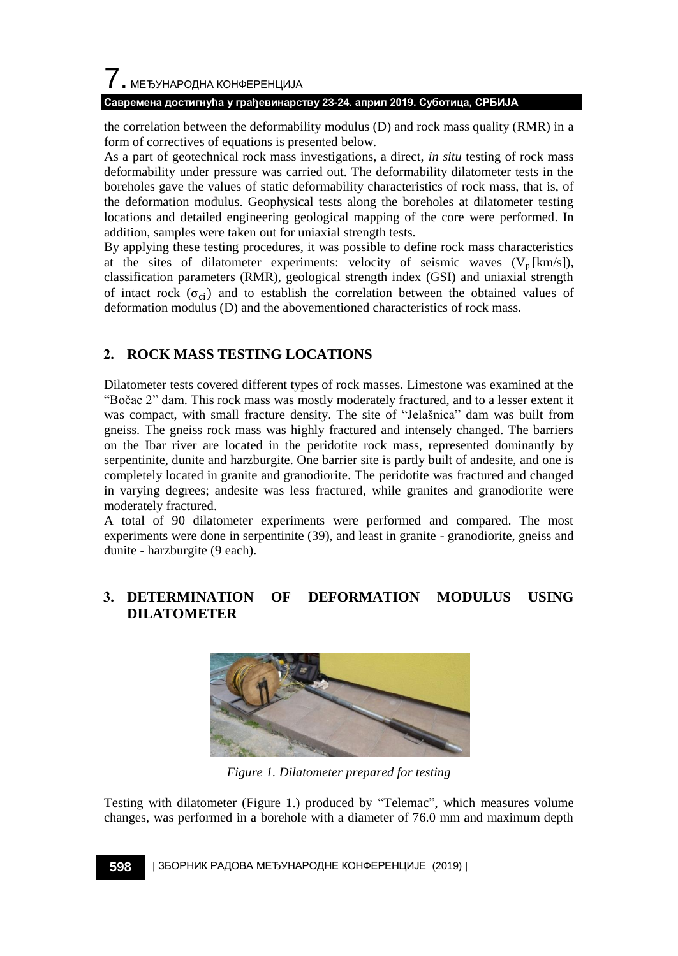### **Савремена достигнућа у грађевинарству 23-24. април 2019. Суботица, СРБИЈА**

the correlation between the deformability modulus (D) and rock mass quality (RMR) in a form of correctives of equations is presented below.

As a part of geotechnical rock mass investigations, a direct, *in situ* testing of rock mass deformability under pressure was carried out. The deformability dilatometer tests in the boreholes gave the values of static deformability characteristics of rock mass, that is, of the deformation modulus. Geophysical tests along the boreholes at dilatometer testing locations and detailed engineering geological mapping of the core were performed. In addition, samples were taken out for uniaxial strength tests.

By applying these testing procedures, it was possible to define rock mass characteristics at the sites of dilatometer experiments: velocity of seismic waves  $(V_p [km/s])$ , classification parameters (RMR), geological strength index (GSI) and uniaxial strength of intact rock  $(\sigma_{ci})$  and to establish the correlation between the obtained values of deformation modulus (D) and the abovementioned characteristics of rock mass.

## **2. ROCK MASS TESTING LOCATIONS**

Dilatometer tests covered different types of rock masses. Limestone was examined at the "Boĉac 2" dam. This rock mass was mostly moderately fractured, and to a lesser extent it was compact, with small fracture density. The site of "Jelašnica" dam was built from gneiss. The gneiss rock mass was highly fractured and intensely changed. The barriers on the Ibar river are located in the [peridotite](https://www.google.com/search?rlz=1C1GCEU_enRS820RS820&q=Gabbro-peridotite&spell=1&sa=X&ved=0ahUKEwiKkJrP0NngAhWG16QKHaVUATwQkeECCCooAA) rock mass, represented dominantly by serpentinite, dunite and harzburgite. One barrier site is partly built of andesite, and one is completely located in granite and granodiorite. The [peridotite](https://www.google.com/search?rlz=1C1GCEU_enRS820RS820&q=Gabbro-peridotite&spell=1&sa=X&ved=0ahUKEwiKkJrP0NngAhWG16QKHaVUATwQkeECCCooAA) was fractured and changed in varying degrees; andesite was less fractured, while granites and granodiorite were moderately fractured.

A total of 90 dilatometer experiments were performed and compared. The most experiments were done in serpentinite (39), and least in granite - granodiorite, gneiss and dunite - harzburgite (9 each).

## **3. DETERMINATION OF DEFORMATION MODULUS USING DILATOMETER**



*Figure 1. Dilatometer prepared for testing*

Testing with dilatometer (Figure 1.) produced by "Telemac", which measures volume changes, was performed in a borehole with a diameter of 76.0 mm and maximum depth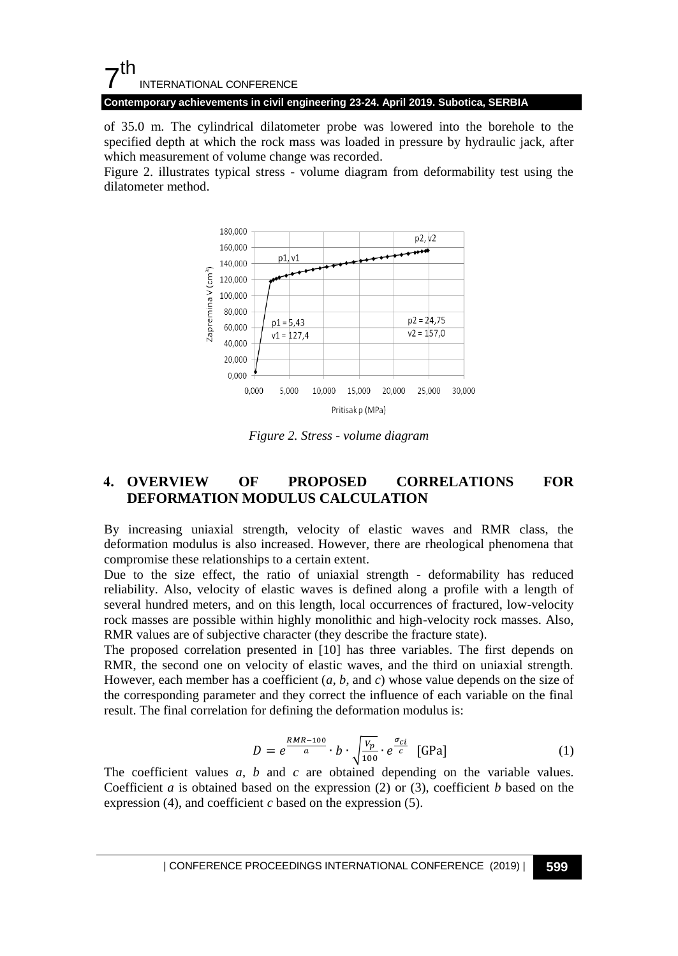# $7<sup>th</sup>$ INTERNATIONAL CONFERENCE

**Contemporary achievements in civil engineering 23-24. April 2019. Subotica, SERBIA**

of 35.0 m. The cylindrical dilatometer probe was lowered into the borehole to the specified depth at which the rock mass was loaded in pressure by hydraulic jack, after which measurement of volume change was recorded.

Figure 2. illustrates typical stress - volume diagram from deformability test using the dilatometer method.



*Figure 2. Stress - volume diagram*

### **4. OVERVIEW OF PROPOSED CORRELATIONS FOR DEFORMATION MODULUS CALCULATION**

By increasing uniaxial strength, velocity of elastic waves and RMR class, the deformation modulus is also increased. However, there are rheological phenomena that compromise these relationships to a certain extent.

Due to the size effect, the ratio of uniaxial strength - deformability has reduced reliability. Also, velocity of elastic waves is defined along a profile with a length of several hundred meters, and on this length, local occurrences of fractured, low-velocity rock masses are possible within highly monolithic and high-velocity rock masses. Also, RMR values are of subjective character (they describe the fracture state).

The proposed correlation presented in [10] has three variables. The first depends on RMR, the second one on velocity of elastic waves, and the third on uniaxial strength. However, each member has a coefficient (*a*, *b*, and *c*) whose value depends on the size of the corresponding parameter and they correct the influence of each variable on the final result. The final correlation for defining the deformation modulus is:

$$
D = e^{\frac{RMR - 100}{a}} \cdot b \cdot \sqrt{\frac{v_p}{100}} \cdot e^{\frac{\sigma_{ci}}{c}} \quad \text{[GPa]}
$$
 (1)

The coefficient values *a*, *b* and *c* are obtained depending on the variable values. Coefficient *a* is obtained based on the expression (2) or (3), coefficient *b* based on the expression (4), and coefficient *c* based on the expression (5).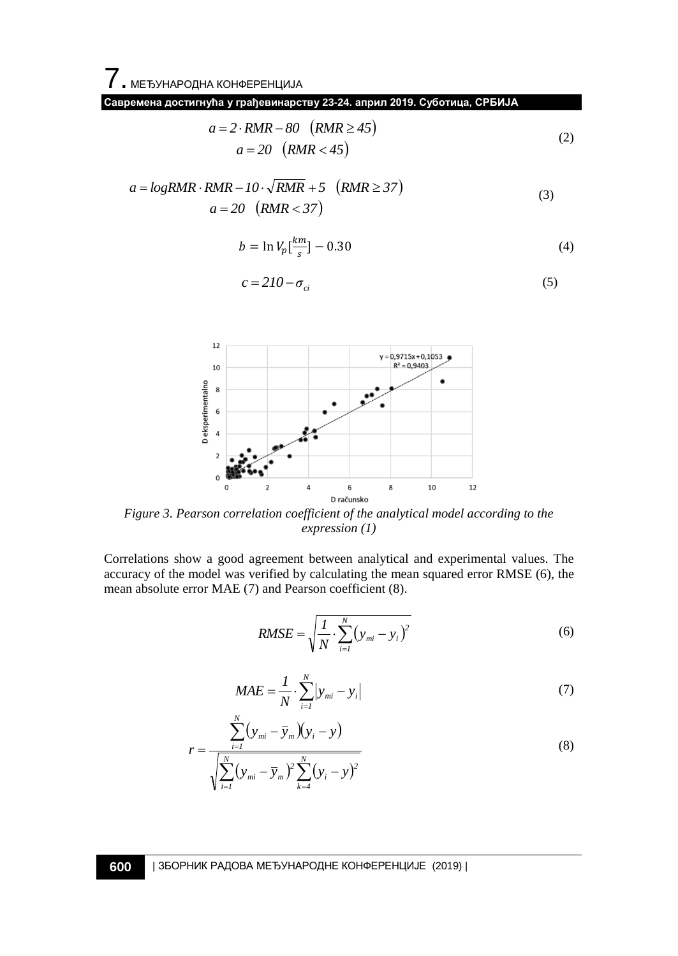7. МЕЂУНАРОДНА КОНФЕРЕНЦИЈА

**Савремена достигнућа у грађевинарству 23-24. април 2019. Суботица, СРБИЈА**

$$
a = 2 \cdot RMR - 80 \quad (RMR \ge 45)
$$
  
\n
$$
a = 20 \quad (RMR < 45)
$$
\n
$$
(2)
$$

$$
a = logRMR \cdot RMR - 10 \cdot \sqrt{RMR} + 5 \quad (RMR \ge 37)
$$
  

$$
a = 20 \quad (RMR < 37)
$$
  
(3)

$$
b = \ln V_p \left[\frac{km}{s}\right] - 0.30\tag{4}
$$

$$
c = 210 - \sigma_{ci} \tag{5}
$$



*Figure 3. Pearson correlation coefficient of the analytical model according to the expression (1)*

Correlations show a good agreement between analytical and experimental values. The accuracy of the model was verified by calculating the mean squared error RMSE (6), the mean absolute error MAE (7) and Pearson coefficient (8).

$$
RMSE = \sqrt{\frac{1}{N} \cdot \sum_{i=1}^{N} (y_{mi} - y_i)^2}
$$
 (6)

$$
MAE = \frac{1}{N} \cdot \sum_{i=1}^{N} |y_{mi} - y_i|
$$
 (7)

$$
r = \frac{\sum_{i=1}^{N} (y_{mi} - \overline{y}_m)(y_i - y)}{\sqrt{\sum_{i=1}^{N} (y_{mi} - \overline{y}_m)^2 \sum_{k=4}^{N} (y_i - y)^2}}
$$
(8)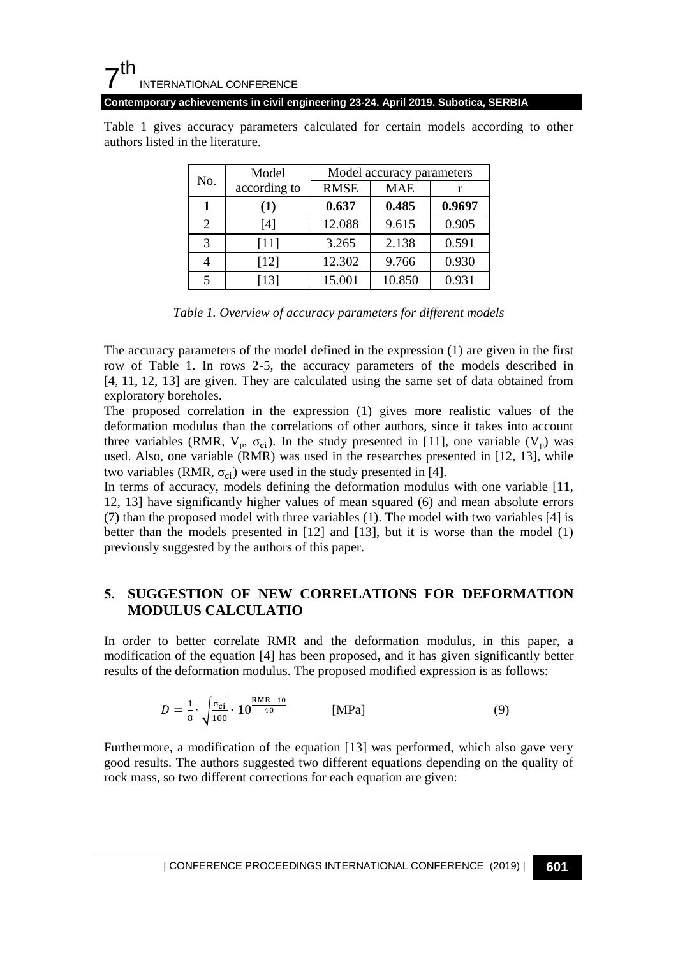#### 7 th INTERNATIONAL CONFERENCE

**Contemporary achievements in civil engineering 23-24. April 2019. Subotica, SERBIA**

Table 1 gives accuracy parameters calculated for certain models according to other authors listed in the literature.

| No. | Model        | Model accuracy parameters |            |        |
|-----|--------------|---------------------------|------------|--------|
|     | according to | <b>RMSE</b>               | <b>MAE</b> | r      |
|     | (1)          | 0.637                     | 0.485      | 0.9697 |
| 2   | [4]          | 12.088                    | 9.615      | 0.905  |
| 3   | $[11]$       | 3.265                     | 2.138      | 0.591  |
|     | $[12]$       | 12.302                    | 9.766      | 0.930  |
|     | $[13]$       | 15.001                    | 10.850     | 0.931  |

*Table 1. Overview of accuracy parameters for different models* 

The accuracy parameters of the model defined in the expression (1) are given in the first row of Table 1. In rows 2-5, the accuracy parameters of the models described in [4, 11, 12, 13] are given. They are calculated using the same set of data obtained from exploratory boreholes.

The proposed correlation in the expression (1) gives more realistic values of the deformation modulus than the correlations of other authors, since it takes into account three variables (RMR,  $V_p$ ,  $\sigma_{ci}$ ). In the study presented in [11], one variable ( $V_p$ ) was used. Also, one variable (RMR) was used in the researches presented in [12, 13], while two variables (RMR,  $\sigma_{ci}$ ) were used in the study presented in [4].

In terms of accuracy, models defining the deformation modulus with one variable [11, 12, 13] have significantly higher values of mean squared (6) and mean absolute errors (7) than the proposed model with three variables (1). The model with two variables [4] is better than the models presented in [12] and [13], but it is worse than the model (1) previously suggested by the authors of this paper.

## **5. SUGGESTION OF NEW CORRELATIONS FOR DEFORMATION MODULUS CALCULATIO**

In order to better correlate RMR and the deformation modulus, in this paper, a modification of the equation [4] has been proposed, and it has given significantly better results of the deformation modulus. The proposed modified expression is as follows:

$$
D = \frac{1}{8} \cdot \sqrt{\frac{\sigma_{ci}}{100}} \cdot 10^{\frac{RMR - 10}{40}} \qquad [MPa]
$$
 (9)

Furthermore, a modification of the equation [13] was performed, which also gave very good results. The authors suggested two different equations depending on the quality of rock mass, so two different corrections for each equation are given: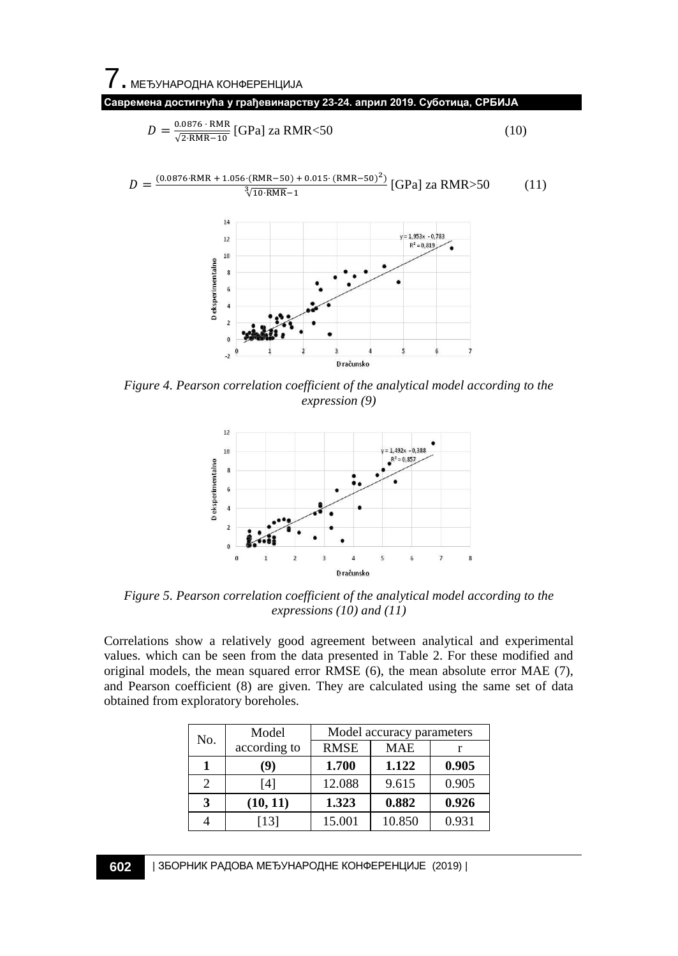$\overline{7}$ . МЕЂУНАРОДНА КОНФЕРЕНЦИЈА

**Савремена достигнућа у грађевинарству 23-24. април 2019. Суботица, СРБИЈА**

$$
D = \frac{0.0876 \cdot \text{RMR}}{\sqrt{2 \cdot \text{RMR} - 10}} [\text{GPa}] \text{ za RMR} < 50 \tag{10}
$$

$$
D = \frac{(0.0876 \cdot \text{RMR} + 1.056 \cdot (\text{RMR} - 50) + 0.015 \cdot (\text{RMR} - 50)^2)}{\sqrt[3]{10 \cdot \text{RMR}} - 1} \text{ [GPa] za RMR} > 50 \tag{11}
$$



*Figure 4. Pearson correlation coefficient of the analytical model according to the expression (9)*



*Figure 5. Pearson correlation coefficient of the analytical model according to the expressions (10) and (11)*

Correlations show a relatively good agreement between analytical and experimental values. which can be seen from the data presented in Table 2. For these modified and original models, the mean squared error RMSE (6), the mean absolute error MAE (7), and Pearson coefficient (8) are given. They are calculated using the same set of data obtained from exploratory boreholes.

| No. | Model        | Model accuracy parameters |            |       |
|-----|--------------|---------------------------|------------|-------|
|     | according to | <b>RMSE</b>               | <b>MAE</b> |       |
|     | (9)          | 1.700                     | 1.122      | 0.905 |
| 2   | [4]          | 12.088                    | 9.615      | 0.905 |
| 3   | (10, 11)     | 1.323                     | 0.882      | 0.926 |
|     | [13]         | 15.001                    | 10.850     | 0.931 |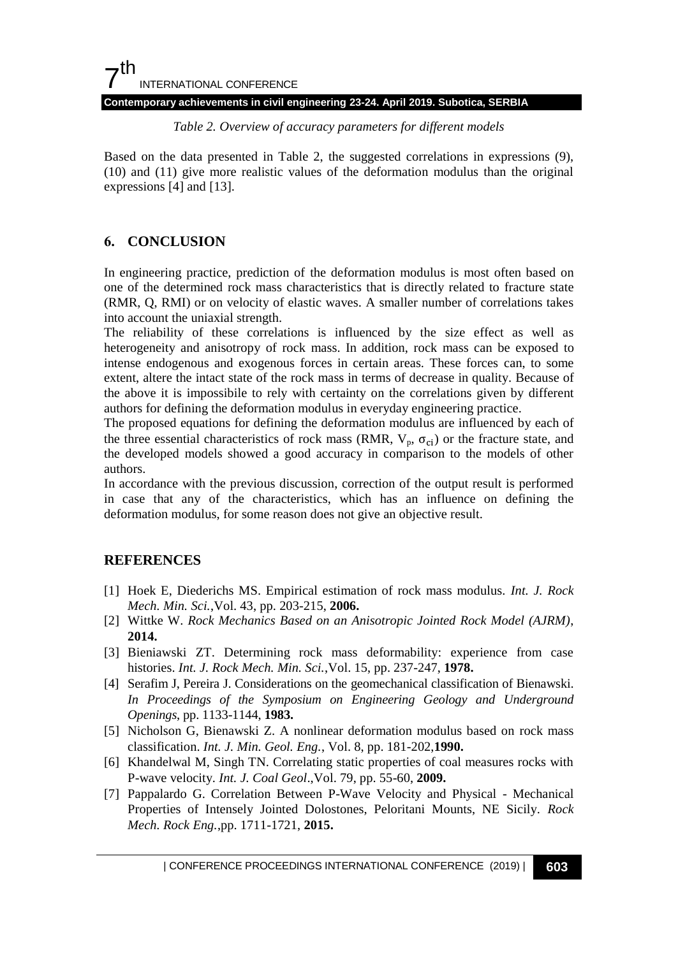### $7<sup>th</sup>$ INTERNATIONAL CONFERENCE **Contemporary achievements in civil engineering 23-24. April 2019. Subotica, SERBIA**

*Table 2. Overview of accuracy parameters for different models* 

Based on the data presented in Table 2, the suggested correlations in expressions (9), (10) and (11) give more realistic values of the deformation modulus than the original expressions [4] and [13].

## **6. CONCLUSION**

In engineering practice, prediction of the deformation modulus is most often based on one of the determined rock mass characteristics that is directly related to fracture state (RMR, Q, RMI) or on velocity of elastic waves. A smaller number of correlations takes into account the uniaxial strength.

The reliability of these correlations is influenced by the size effect as well as heterogeneity and anisotropy of rock mass. In addition, rock mass can be exposed to intense endogenous and exogenous forces in certain areas. These forces can, to some extent, altere the intact state of the rock mass in terms of decrease in quality. Because of the above it is impossibile to rely with certainty on the correlations given by different authors for defining the deformation modulus in everyday engineering practice.

The proposed equations for defining the deformation modulus are influenced by each of the three essential characteristics of rock mass (RMR,  $V_p$ ,  $\sigma_{ci}$ ) or the fracture state, and the developed models showed a good accuracy in comparison to the models of other authors.

In accordance with the previous discussion, correction of the output result is performed in case that any of the characteristics, which has an influence on defining the deformation modulus, for some reason does not give an objective result.

## **REFERENCES**

- [1] Hoek E, Diederichs MS. Empirical estimation of rock mass modulus. *Int. J. Rock Mech. Min. Sci.*,Vol. 43, pp. 203-215, **2006.**
- [2] Wittke W. *Rock Mechanics Based on an Anisotropic Jointed Rock Model (AJRM)*, **2014.**
- [3] Bieniawski ZT. Determining rock mass deformability: experience from case histories. *Int. J. Rock Mech. Min. Sci.*,Vol. 15, pp. 237-247, **1978.**
- [4] Serafim J, Pereira J. Considerations on the geomechanical classification of Bienawski. *In Proceedings of the Symposium on Engineering Geology and Underground Openings*, pp. 1133-1144, **1983.**
- [5] Nicholson G, Bienawski Z. A nonlinear deformation modulus based on rock mass classification. *Int. J. Min. Geol. Eng.*, Vol. 8, pp. 181-202,**1990.**
- [6] Khandelwal M, Singh TN. Correlating static properties of coal measures rocks with P-wave velocity. *Int. J. Coal Geol*.,Vol. 79, pp. 55-60, **2009.**
- [7] Pappalardo G. Correlation Between P-Wave Velocity and Physical Mechanical Properties of Intensely Jointed Dolostones, Peloritani Mounts, NE Sicily. *Rock Mech. Rock Eng.*,pp. 1711-1721, **2015.**